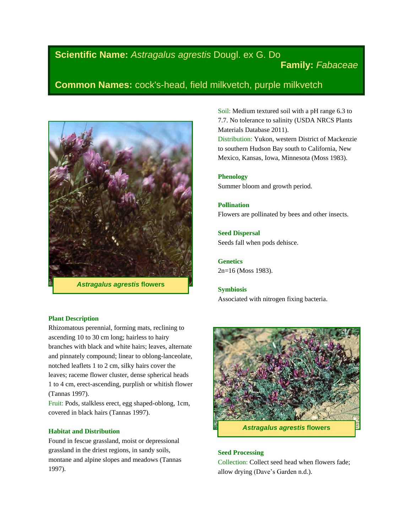# **Scientific Name:** *Astragalus agrestis* Dougl. ex G. Do

# **Family:** *Fabaceae*

# **Common Names:** cock's-head, field milkvetch, purple milkvetch



*Astragalus agrestis* **flowers**

#### **Plant Description**

Rhizomatous perennial, forming mats, reclining to ascending 10 to 30 cm long; hairless to hairy branches with black and white hairs; leaves, alternate and pinnately compound; linear to oblong-lanceolate, notched leaflets 1 to 2 cm, silky hairs cover the leaves; raceme flower cluster, dense spherical heads 1 to 4 cm, erect-ascending, purplish or whitish flower (Tannas 1997).

Fruit: Pods, stalkless erect, egg shaped-oblong, 1cm, covered in black hairs (Tannas 1997).

#### **Habitat and Distribution**

Found in fescue grassland, moist or depressional grassland in the driest regions, in sandy soils, montane and alpine slopes and meadows (Tannas 1997).

Soil: Medium textured soil with a pH range 6.3 to 7.7. No tolerance to salinity (USDA NRCS Plants Materials Database 2011).

Distribution: Yukon, western District of Mackenzie to southern Hudson Bay south to California, New Mexico, Kansas, Iowa, Minnesota (Moss 1983).

**Phenology** Summer bloom and growth period.

**Pollination** Flowers are pollinated by bees and other insects.

**Seed Dispersal** Seeds fall when pods dehisce.

**Genetics** 2n=16 (Moss 1983).

**Symbiosis** Associated with nitrogen fixing bacteria.



#### **Seed Processing**

Collection: Collect seed head when flowers fade; allow drying (Dave's Garden n.d.).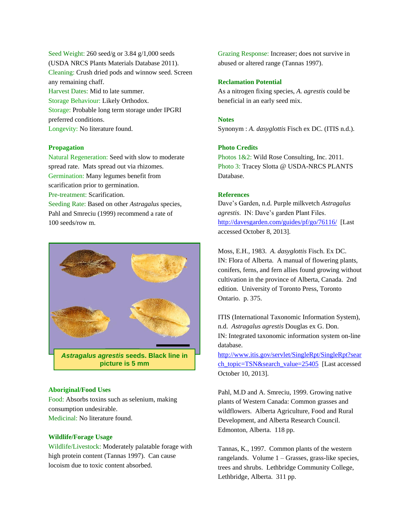Seed Weight: 260 seed/g or 3.84 g/1,000 seeds (USDA NRCS Plants Materials Database 2011). Cleaning: Crush dried pods and winnow seed. Screen any remaining chaff. Harvest Dates: Mid to late summer. Storage Behaviour: Likely Orthodox. Storage: Probable long term storage under IPGRI preferred conditions. Longevity: No literature found.

#### **Propagation**

Natural Regeneration: Seed with slow to moderate spread rate. Mats spread out via rhizomes. Germination: Many legumes benefit from scarification prior to germination. Pre-treatment: Scarification. Seeding Rate: Based on other *Astragalus* species, Pahl and Smreciu (1999) recommend a rate of 100 seeds/row m.



#### **Aboriginal/Food Uses**

Food: Absorbs toxins such as selenium, making consumption undesirable. Medicinal: No literature found.

# **Wildlife/Forage Usage**

Wildlife/Livestock: Moderately palatable forage with high protein content (Tannas 1997). Can cause locoism due to toxic content absorbed.

Grazing Response: Increaser; does not survive in abused or altered range (Tannas 1997).

# **Reclamation Potential**

As a nitrogen fixing species, *A. agrestis* could be beneficial in an early seed mix.

### **Notes**

Synonym : *A. dasyglottis* Fisch ex DC. (ITIS n.d.).

## **Photo Credits**

Photos 1&2: Wild Rose Consulting, Inc. 2011. Photo 3: Tracey Slotta @ USDA-NRCS PLANTS Database.

### **References**

Dave's Garden, n.d. Purple milkvetch *Astragalus agrestis*. IN: Dave's garden Plant Files. <http://davesgarden.com/guides/pf/go/76116/> [Last accessed October 8, 2013].

Moss, E.H., 1983. *A. dasyglottis* Fisch. Ex DC. IN: Flora of Alberta. A manual of flowering plants, conifers, ferns, and fern allies found growing without cultivation in the province of Alberta, Canada. 2nd edition. University of Toronto Press, Toronto Ontario. p. 375.

ITIS (International Taxonomic Information System), n.d. *Astragalus agrestis* Douglas ex G. Don. IN: Integrated taxonomic information system on-line database.

[http://www.itis.gov/servlet/SingleRpt/SingleRpt?sear](http://www.itis.gov/servlet/SingleRpt/SingleRpt?search_topic=TSN&search_value=25405) [ch\\_topic=TSN&search\\_value=25405](http://www.itis.gov/servlet/SingleRpt/SingleRpt?search_topic=TSN&search_value=25405) [Last accessed October 10, 2013].

Pahl, M.D and A. Smreciu, 1999. Growing native plants of Western Canada: Common grasses and wildflowers. Alberta Agriculture, Food and Rural Development, and Alberta Research Council. Edmonton, Alberta. 118 pp.

Tannas, K., 1997. Common plants of the western rangelands. Volume 1 – Grasses, grass-like species, trees and shrubs. Lethbridge Community College, Lethbridge, Alberta. 311 pp.